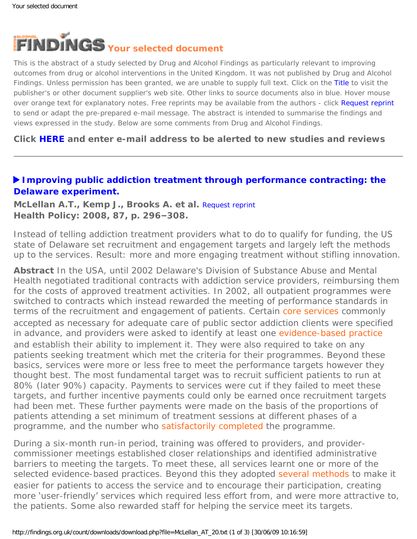<span id="page-0-0"></span>

This is the abstract of a study selected by Drug and Alcohol Findings as particularly relevant to improving outcomes from drug or alcohol interventions in the United Kingdom. It was not published by Drug and Alcohol Findings. Unless permission has been granted, we are unable to supply full text. Click on the Title to visit the publisher's or other document supplier's web site. Other links to source documents also in blue. Hover mouse over orange text for explanatory notes. Free reprints may be available from the authors - click Request reprint to send or adapt the pre-prepared e-mail message. The abstract is intended to summarise the findings and views expressed in the study. Below are some comments from Drug and Alcohol Findings.

**Click [HERE](https://findings.org.uk/index.php#signUp) and enter e-mail address to be alerted to new studies and reviews**

## **[Improving public addiction treatment through performance contracting: the](http://dx.doi.org/10.1016/j.healthpol.2008.01.010)  [Delaware experiment.](http://dx.doi.org/10.1016/j.healthpol.2008.01.010)**

**McLellan A.T., Kemp J., Brooks A. et al.** [Request reprint](mailto:tmclellan@tresearch.org?Subject=Reprint%20request&body=Dear Dr McLellan%0A%0AOn the Drug and Alcohol Findings web site (https://findings.org.uk) I read about your article:%0AMcLellan A.T., Kemp J., Brooks A. et al. Improving public addiction treatment through performance contracting: the Delaware experiment. Health Policy: 2008, 87, p. 296-308.%0A%0AWould it be possible to for me to be sent a PDF reprint or the manuscript by return e-mail?%0A) **Health Policy: 2008, 87, p. 296–308.**

Instead of telling addiction treatment providers what to do to qualify for funding, the US state of Delaware set recruitment and engagement targets and largely left the methods up to the services. Result: more and more engaging treatment without stifling innovation.

**Abstract** In the USA, until 2002 Delaware's Division of Substance Abuse and Mental Health negotiated traditional contracts with addiction service providers, reimbursing them for the costs of approved treatment activities. In 2002, all outpatient programmes were switched to contracts which instead rewarded the meeting of performance standards in terms of the recruitment and engagement of patients. Certain [core services](#page-0-0) commonly accepted as necessary for adequate care of public sector addiction clients were specified in advance, and providers were asked to identify at least one [evidence-based practice](#page-0-0)  and establish their ability to implement it. They were also required to take on any patients seeking treatment which met the criteria for their programmes. Beyond these basics, services were more or less free to meet the performance targets however they thought best. The most fundamental target was to recruit sufficient patients to run at 80% (later 90%) capacity. Payments to services were cut if they failed to meet these targets, and further incentive payments could only be earned once recruitment targets had been met. These further payments were made on the basis of the proportions of patients attending a set minimum of treatment sessions at different phases of a programme, and the number who [satisfactorily completed](#page-0-0) the programme.

During a six-month run-in period, training was offered to providers, and providercommissioner meetings established closer relationships and identified administrative barriers to meeting the targets. To meet these, all services learnt one or more of the selected evidence-based practices. Beyond this they adopted [several methods](#page-0-0) to make it easier for patients to access the service and to encourage their participation, creating more 'user-friendly' services which required less effort from, and were more attractive to, the patients. Some also rewarded staff for helping the service meet its targets.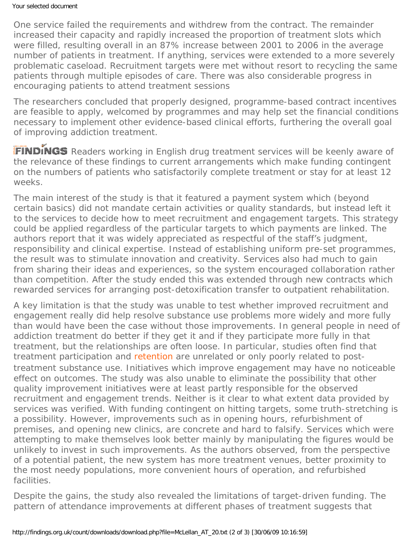One service failed the requirements and withdrew from the contract. The remainder increased their capacity and rapidly increased the proportion of treatment slots which were filled, resulting overall in an 87% increase between 2001 to 2006 in the average number of patients in treatment. If anything, services were extended to a more severely problematic caseload. Recruitment targets were met without resort to recycling the same patients through multiple episodes of care. There was also considerable progress in encouraging patients to attend treatment sessions

The researchers concluded that properly designed, programme-based contract incentives are feasible to apply, welcomed by programmes and may help set the financial conditions necessary to implement other evidence-based clinical efforts, furthering the overall goal of improving addiction treatment.

FINDINGS Readers working in English drug treatment services will be keenly aware of the relevance of these findings to current arrangements which make funding contingent on the numbers of patients who satisfactorily complete treatment or stay for at least 12 weeks.

The main interest of the study is that it featured a payment system which (beyond certain basics) did not mandate certain activities or quality standards, but instead left it to the services to decide how to meet recruitment and engagement targets. This strategy could be applied regardless of the particular targets to which payments are linked. The authors report that it was widely appreciated as respectful of the staff's judgment, responsibility and clinical expertise. Instead of establishing uniform pre-set programmes, the result was to stimulate innovation and creativity. Services also had much to gain from sharing their ideas and experiences, so the system encouraged collaboration rather than competition. After the study ended this was extended through new contracts which rewarded services for arranging post-detoxification transfer to outpatient rehabilitation.

A key limitation is that the study was unable to test whether improved recruitment and engagement really did help resolve substance use problems more widely and more fully than would have been the case without those improvements. In general people in need of addiction treatment do better if they get it and if they participate more fully in that treatment, but the relationships are often loose. In particular, studies often find that treatment participation and [retention](#page-0-0) are unrelated or only poorly related to posttreatment substance use. Initiatives which improve engagement may have no noticeable effect on outcomes. The study was also unable to eliminate the possibility that other quality improvement initiatives were at least partly responsible for the observed recruitment and engagement trends. Neither is it clear to what extent data provided by services was verified. With funding contingent on hitting targets, some truth-stretching is a possibility. However, improvements such as in opening hours, refurbishment of premises, and opening new clinics, are concrete and hard to falsify. Services which were attempting to make themselves look better mainly by manipulating the figures would be unlikely to invest in such improvements. As the authors observed, from the perspective of a potential patient, the new system has more treatment venues, better proximity to the most needy populations, more convenient hours of operation, and refurbished facilities.

Despite the gains, the study also revealed the limitations of target-driven funding. The pattern of attendance improvements at different phases of treatment suggests that